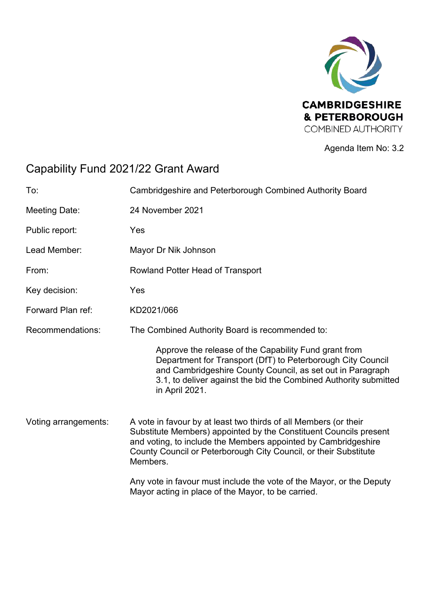

Agenda Item No: 3.2

# Capability Fund 2021/22 Grant Award

| To:                  | Cambridgeshire and Peterborough Combined Authority Board                                                                                                                                                                                                                                |  |
|----------------------|-----------------------------------------------------------------------------------------------------------------------------------------------------------------------------------------------------------------------------------------------------------------------------------------|--|
| <b>Meeting Date:</b> | 24 November 2021                                                                                                                                                                                                                                                                        |  |
| Public report:       | Yes                                                                                                                                                                                                                                                                                     |  |
| Lead Member:         | Mayor Dr Nik Johnson                                                                                                                                                                                                                                                                    |  |
| From:                | Rowland Potter Head of Transport                                                                                                                                                                                                                                                        |  |
| Key decision:        | Yes                                                                                                                                                                                                                                                                                     |  |
| Forward Plan ref:    | KD2021/066                                                                                                                                                                                                                                                                              |  |
| Recommendations:     | The Combined Authority Board is recommended to:                                                                                                                                                                                                                                         |  |
|                      | Approve the release of the Capability Fund grant from<br>Department for Transport (DfT) to Peterborough City Council<br>and Cambridgeshire County Council, as set out in Paragraph<br>3.1, to deliver against the bid the Combined Authority submitted<br>in April 2021.                |  |
| Voting arrangements: | A vote in favour by at least two thirds of all Members (or their<br>Substitute Members) appointed by the Constituent Councils present<br>and voting, to include the Members appointed by Cambridgeshire<br>County Council or Peterborough City Council, or their Substitute<br>Members. |  |
|                      | Any vote in favour must include the vote of the Mayor, or the Deputy<br>Mayor acting in place of the Mayor, to be carried.                                                                                                                                                              |  |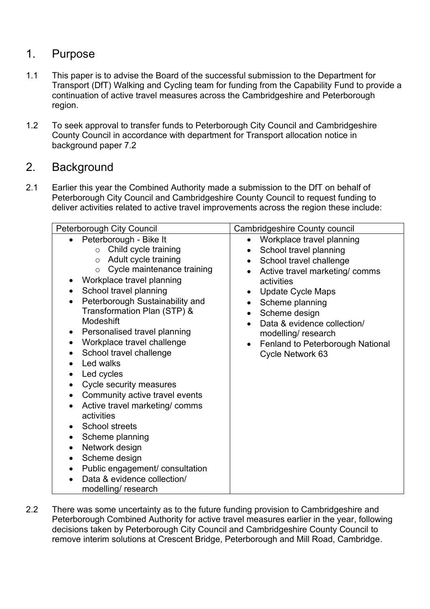# 1. Purpose

- 1.1 This paper is to advise the Board of the successful submission to the Department for Transport (DfT) Walking and Cycling team for funding from the Capability Fund to provide a continuation of active travel measures across the Cambridgeshire and Peterborough region.
- 1.2 To seek approval to transfer funds to Peterborough City Council and Cambridgeshire County Council in accordance with department for Transport allocation notice in background paper 7.2

#### 2. Background

2.1 Earlier this year the Combined Authority made a submission to the DfT on behalf of Peterborough City Council and Cambridgeshire County Council to request funding to deliver activities related to active travel improvements across the region these include:

| Peterborough City Council                                                                                                                                                                                                                                                                                                                                                                                                                                                                                                                                                                                                                                                                                                                                                                                                             | <b>Cambridgeshire County council</b>                                                                                                                                                                                                                                                                                                                                                      |
|---------------------------------------------------------------------------------------------------------------------------------------------------------------------------------------------------------------------------------------------------------------------------------------------------------------------------------------------------------------------------------------------------------------------------------------------------------------------------------------------------------------------------------------------------------------------------------------------------------------------------------------------------------------------------------------------------------------------------------------------------------------------------------------------------------------------------------------|-------------------------------------------------------------------------------------------------------------------------------------------------------------------------------------------------------------------------------------------------------------------------------------------------------------------------------------------------------------------------------------------|
| Peterborough - Bike It<br>$\bullet$<br>$\circ$ Child cycle training<br>Adult cycle training<br>$\circ$<br>$\circ$ Cycle maintenance training<br>Workplace travel planning<br>٠<br>School travel planning<br>$\bullet$<br>Peterborough Sustainability and<br>$\bullet$<br>Transformation Plan (STP) &<br>Modeshift<br>Personalised travel planning<br>$\bullet$<br>Workplace travel challenge<br>$\bullet$<br>School travel challenge<br>Led walks<br>Led cycles<br>$\bullet$<br>Cycle security measures<br>$\bullet$<br>Community active travel events<br>Active travel marketing/comms<br>activities<br><b>School streets</b><br>$\bullet$<br>Scheme planning<br>$\bullet$<br>Network design<br>$\bullet$<br>Scheme design<br>٠<br>Public engagement/ consultation<br>$\bullet$<br>Data & evidence collection/<br>modelling/research | Workplace travel planning<br>$\bullet$<br>School travel planning<br>$\bullet$<br>School travel challenge<br>$\bullet$<br>Active travel marketing/ comms<br>activities<br><b>Update Cycle Maps</b><br>Scheme planning<br>$\bullet$<br>Scheme design<br>$\bullet$<br>Data & evidence collection/<br>$\bullet$<br>modelling/research<br>Fenland to Peterborough National<br>Cycle Network 63 |

2.2 There was some uncertainty as to the future funding provision to Cambridgeshire and Peterborough Combined Authority for active travel measures earlier in the year, following decisions taken by Peterborough City Council and Cambridgeshire County Council to remove interim solutions at Crescent Bridge, Peterborough and Mill Road, Cambridge.